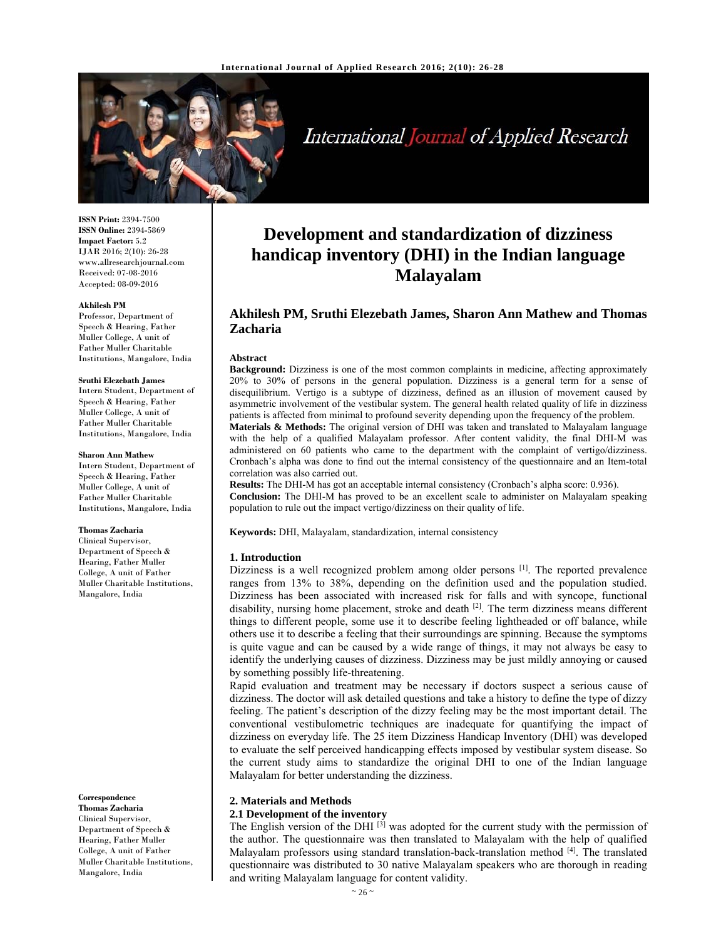

International Journal of Applied Research

**ISSN Print:** 2394-7500 **ISSN Online:** 2394-5869 **Impact Factor:** 5.2 IJAR 2016; 2(10): 26-28 www.allresearchjournal.com Received: 07-08-2016 Accepted: 08-09-2016

#### **Akhilesh PM**

Professor, Department of Speech & Hearing, Father Muller College, A unit of Father Muller Charitable Institutions, Mangalore, India

#### **Sruthi Elezebath James**

Intern Student, Department of Speech & Hearing, Father Muller College, A unit of Father Muller Charitable Institutions, Mangalore, India

#### **Sharon Ann Mathew**

Intern Student, Department of Speech & Hearing, Father Muller College, A unit of Father Muller Charitable Institutions, Mangalore, India

#### **Thomas Zacharia**

Clinical Supervisor, Department of Speech & Hearing, Father Muller College, A unit of Father Muller Charitable Institutions, Mangalore, India

#### **Correspondence**

**Thomas Zacharia**  Clinical Supervisor, Department of Speech & Hearing, Father Muller College, A unit of Father Muller Charitable Institutions, Mangalore, India

# **Development and standardization of dizziness handicap inventory (DHI) in the Indian language Malayalam**

# **Akhilesh PM, Sruthi Elezebath James, Sharon Ann Mathew and Thomas Zacharia**

#### **Abstract**

**Background:** Dizziness is one of the most common complaints in medicine, affecting approximately 20% to 30% of persons in the general population. Dizziness is a general term for a sense of disequilibrium. Vertigo is a subtype of dizziness, defined as an illusion of movement caused by asymmetric involvement of the vestibular system. The general health related quality of life in dizziness patients is affected from minimal to profound severity depending upon the frequency of the problem.

**Materials & Methods:** The original version of DHI was taken and translated to Malayalam language with the help of a qualified Malayalam professor. After content validity, the final DHI-M was administered on 60 patients who came to the department with the complaint of vertigo/dizziness. Cronbach's alpha was done to find out the internal consistency of the questionnaire and an Item-total correlation was also carried out.

**Results:** The DHI-M has got an acceptable internal consistency (Cronbach's alpha score: 0.936). **Conclusion:** The DHI-M has proved to be an excellent scale to administer on Malayalam speaking population to rule out the impact vertigo/dizziness on their quality of life.

**Keywords:** DHI, Malayalam, standardization, internal consistency

#### **1. Introduction**

Dizziness is a well recognized problem among older persons <sup>[1]</sup>. The reported prevalence ranges from 13% to 38%, depending on the definition used and the population studied. Dizziness has been associated with increased risk for falls and with syncope, functional disability, nursing home placement, stroke and death <sup>[2]</sup>. The term dizziness means different things to different people, some use it to describe feeling lightheaded or off balance, while others use it to describe a feeling that their surroundings are spinning. Because the symptoms is quite vague and can be caused by a wide range of things, it may not always be easy to identify the underlying causes of dizziness. Dizziness may be just mildly annoying or caused by something possibly life-threatening.

Rapid evaluation and treatment may be necessary if doctors suspect a serious cause of dizziness. The doctor will ask detailed questions and take a history to define the type of dizzy feeling. The patient's description of the dizzy feeling may be the most important detail. The conventional vestibulometric techniques are inadequate for quantifying the impact of dizziness on everyday life. The 25 item Dizziness Handicap Inventory (DHI) was developed to evaluate the self perceived handicapping effects imposed by vestibular system disease. So the current study aims to standardize the original DHI to one of the Indian language Malayalam for better understanding the dizziness.

#### **2. Materials and Methods**

#### **2.1 Development of the inventory**

The English version of the DHI<sup>[3]</sup> was adopted for the current study with the permission of the author. The questionnaire was then translated to Malayalam with the help of qualified Malayalam professors using standard translation-back-translation method  $[4]$ . The translated questionnaire was distributed to 30 native Malayalam speakers who are thorough in reading and writing Malayalam language for content validity.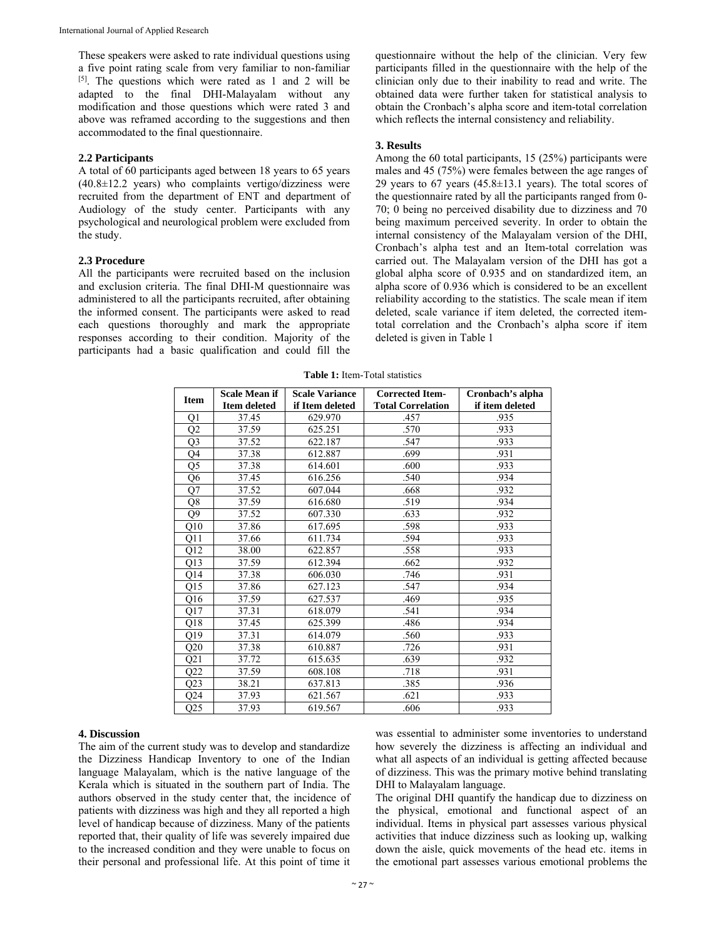These speakers were asked to rate individual questions using a five point rating scale from very familiar to non-familiar [5]. The questions which were rated as 1 and 2 will be adapted to the final DHI-Malayalam without any modification and those questions which were rated 3 and above was reframed according to the suggestions and then accommodated to the final questionnaire.

#### **2.2 Participants**

A total of 60 participants aged between 18 years to 65 years (40.8±12.2 years) who complaints vertigo/dizziness were recruited from the department of ENT and department of Audiology of the study center. Participants with any psychological and neurological problem were excluded from the study.

# **2.3 Procedure**

All the participants were recruited based on the inclusion and exclusion criteria. The final DHI-M questionnaire was administered to all the participants recruited, after obtaining the informed consent. The participants were asked to read each questions thoroughly and mark the appropriate responses according to their condition. Majority of the participants had a basic qualification and could fill the

questionnaire without the help of the clinician. Very few participants filled in the questionnaire with the help of the clinician only due to their inability to read and write. The obtained data were further taken for statistical analysis to obtain the Cronbach's alpha score and item-total correlation which reflects the internal consistency and reliability.

#### **3. Results**

Among the 60 total participants, 15 (25%) participants were males and 45 (75%) were females between the age ranges of 29 years to 67 years  $(45.8 \pm 13.1$  years). The total scores of the questionnaire rated by all the participants ranged from 0- 70; 0 being no perceived disability due to dizziness and 70 being maximum perceived severity. In order to obtain the internal consistency of the Malayalam version of the DHI, Cronbach's alpha test and an Item-total correlation was carried out. The Malayalam version of the DHI has got a global alpha score of 0.935 and on standardized item, an alpha score of 0.936 which is considered to be an excellent reliability according to the statistics. The scale mean if item deleted, scale variance if item deleted, the corrected itemtotal correlation and the Cronbach's alpha score if item deleted is given in Table 1

| <b>Item</b>     | <b>Scale Mean if</b> | <b>Scale Variance</b> | <b>Corrected Item-</b>   | Cronbach's alpha |
|-----------------|----------------------|-----------------------|--------------------------|------------------|
|                 | <b>Item deleted</b>  | if Item deleted       | <b>Total Correlation</b> | if item deleted  |
| Q1              | 37.45                | 629.970               | .457                     | .935             |
| Q2              | 37.59                | 625.251               | .570                     | .933             |
| Q <sub>3</sub>  | 37.52                | 622.187               | .547                     | .933             |
| Q4              | 37.38                | 612.887               | .699                     | .931             |
| Q <sub>5</sub>  | 37.38                | 614.601               | .600                     | .933             |
| Q6              | 37.45                | 616.256               | .540                     | .934             |
| Q7              | 37.52                | 607.044               | .668                     | .932             |
| Q8              | 37.59                | 616.680               | .519                     | .934             |
| Q9              | 37.52                | 607.330               | .633                     | .932             |
| Q10             | 37.86                | 617.695               | .598                     | .933             |
| Q11             | 37.66                | 611.734               | .594                     | .933             |
| Q12             | 38.00                | 622.857               | .558                     | .933             |
| Q13             | 37.59                | 612.394               | .662                     | .932             |
| Q14             | 37.38                | 606.030               | .746                     | .931             |
| Q15             | 37.86                | 627.123               | .547                     | .934             |
| Q <sub>16</sub> | 37.59                | 627.537               | .469                     | .935             |
| Q17             | 37.31                | 618.079               | .541                     | .934             |
| Q18             | 37.45                | 625.399               | .486                     | .934             |
| Q19             | 37.31                | 614.079               | .560                     | .933             |
| Q20             | 37.38                | 610.887               | .726                     | .931             |
| Q21             | 37.72                | 615.635               | .639                     | .932             |
| Q22             | 37.59                | 608.108               | .718                     | .931             |
| Q23             | 38.21                | 637.813               | .385                     | .936             |
| Q24             | 37.93                | 621.567               | .621                     | .933             |
| Q25             | 37.93                | 619.567               | .606                     | .933             |

**Table 1:** Item-Total statistics

# **4. Discussion**

The aim of the current study was to develop and standardize the Dizziness Handicap Inventory to one of the Indian language Malayalam, which is the native language of the Kerala which is situated in the southern part of India. The authors observed in the study center that, the incidence of patients with dizziness was high and they all reported a high level of handicap because of dizziness. Many of the patients reported that, their quality of life was severely impaired due to the increased condition and they were unable to focus on their personal and professional life. At this point of time it

was essential to administer some inventories to understand how severely the dizziness is affecting an individual and what all aspects of an individual is getting affected because of dizziness. This was the primary motive behind translating DHI to Malayalam language.

The original DHI quantify the handicap due to dizziness on the physical, emotional and functional aspect of an individual. Items in physical part assesses various physical activities that induce dizziness such as looking up, walking down the aisle, quick movements of the head etc. items in the emotional part assesses various emotional problems the